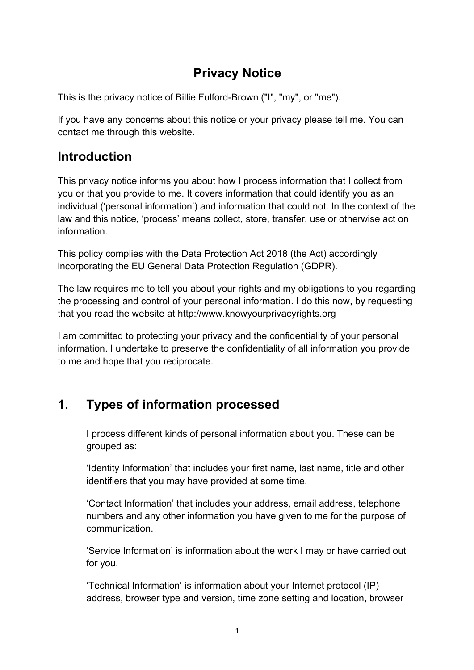# **Privacy Notice**

This is the privacy notice of Billie Fulford-Brown ("I", "my", or "me").

If you have any concerns about this notice or your privacy please tell me. You can contact me through this website.

## **Introduction**

This privacy notice informs you about how I process information that I collect from you or that you provide to me. It covers information that could identify you as an individual ('personal information') and information that could not. In the context of the law and this notice, 'process' means collect, store, transfer, use or otherwise act on information.

This policy complies with the Data Protection Act 2018 (the Act) accordingly incorporating the EU General Data Protection Regulation (GDPR).

The law requires me to tell you about your rights and my obligations to you regarding the processing and control of your personal information. I do this now, by requesting that you read the website at http://www.knowyourprivacyrights.org

I am committed to protecting your privacy and the confidentiality of your personal information. I undertake to preserve the confidentiality of all information you provide to me and hope that you reciprocate.

# **1. Types of information processed**

I process different kinds of personal information about you. These can be grouped as:

'Identity Information' that includes your first name, last name, title and other identifiers that you may have provided at some time.

'Contact Information' that includes your address, email address, telephone numbers and any other information you have given to me for the purpose of communication.

'Service Information' is information about the work I may or have carried out for you.

'Technical Information' is information about your Internet protocol (IP) address, browser type and version, time zone setting and location, browser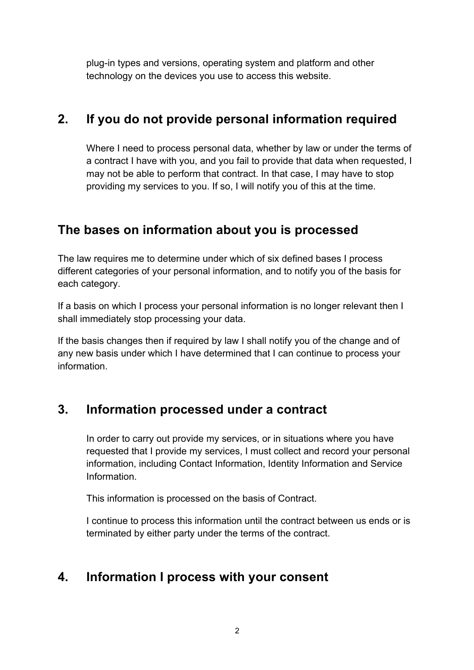plug-in types and versions, operating system and platform and other technology on the devices you use to access this website.

## **2. If you do not provide personal information required**

Where I need to process personal data, whether by law or under the terms of a contract I have with you, and you fail to provide that data when requested, I may not be able to perform that contract. In that case, I may have to stop providing my services to you. If so, I will notify you of this at the time.

## **The bases on information about you is processed**

The law requires me to determine under which of six defined bases I process different categories of your personal information, and to notify you of the basis for each category.

If a basis on which I process your personal information is no longer relevant then I shall immediately stop processing your data.

If the basis changes then if required by law I shall notify you of the change and of any new basis under which I have determined that I can continue to process your information.

# **3. Information processed under a contract**

In order to carry out provide my services, or in situations where you have requested that I provide my services, I must collect and record your personal information, including Contact Information, Identity Information and Service Information.

This information is processed on the basis of Contract.

I continue to process this information until the contract between us ends or is terminated by either party under the terms of the contract.

# **4. Information I process with your consent**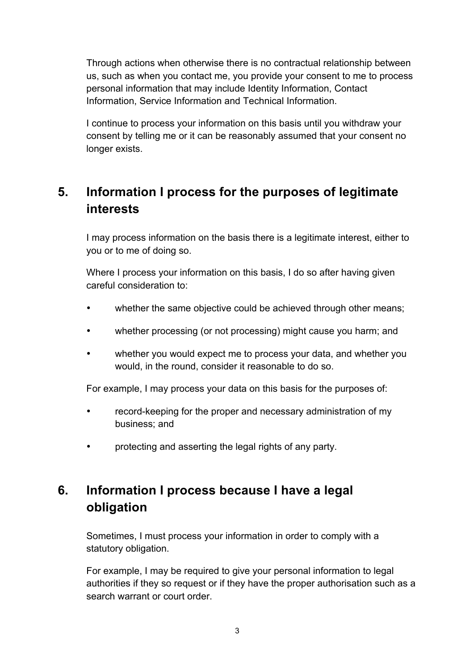Through actions when otherwise there is no contractual relationship between us, such as when you contact me, you provide your consent to me to process personal information that may include Identity Information, Contact Information, Service Information and Technical Information.

I continue to process your information on this basis until you withdraw your consent by telling me or it can be reasonably assumed that your consent no longer exists.

# **5. Information I process for the purposes of legitimate interests**

I may process information on the basis there is a legitimate interest, either to you or to me of doing so.

Where I process your information on this basis, I do so after having given careful consideration to:

- whether the same objective could be achieved through other means;
- whether processing (or not processing) might cause you harm; and
- whether you would expect me to process your data, and whether you would, in the round, consider it reasonable to do so.

For example, I may process your data on this basis for the purposes of:

- record-keeping for the proper and necessary administration of my business; and
- protecting and asserting the legal rights of any party.

# **6. Information I process because I have a legal obligation**

Sometimes, I must process your information in order to comply with a statutory obligation.

For example, I may be required to give your personal information to legal authorities if they so request or if they have the proper authorisation such as a search warrant or court order.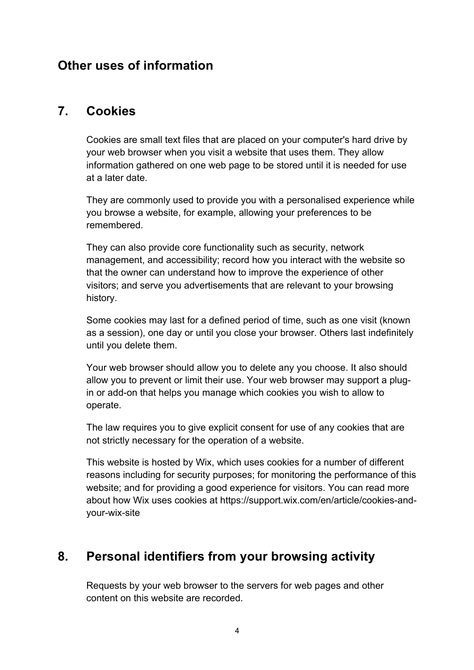### **Other uses of information**

#### **7. Cookies**

Cookies are small text files that are placed on your computer's hard drive by your web browser when you visit a website that uses them. They allow information gathered on one web page to be stored until it is needed for use at a later date.

They are commonly used to provide you with a personalised experience while you browse a website, for example, allowing your preferences to be remembered.

They can also provide core functionality such as security, network management, and accessibility; record how you interact with the website so that the owner can understand how to improve the experience of other visitors; and serve you advertisements that are relevant to your browsing history.

Some cookies may last for a defined period of time, such as one visit (known as a session), one day or until you close your browser. Others last indefinitely until you delete them.

Your web browser should allow you to delete any you choose. It also should allow you to prevent or limit their use. Your web browser may support a plugin or add-on that helps you manage which cookies you wish to allow to operate.

The law requires you to give explicit consent for use of any cookies that are not strictly necessary for the operation of a website.

This website is hosted by Wix, which uses cookies for a number of different reasons including for security purposes; for monitoring the performance of this website; and for providing a good experience for visitors. You can read more about how Wix uses cookies at https://support.wix.com/en/article/cookies-andyour-wix-site

# **8. Personal identifiers from your browsing activity**

Requests by your web browser to the servers for web pages and other content on this website are recorded.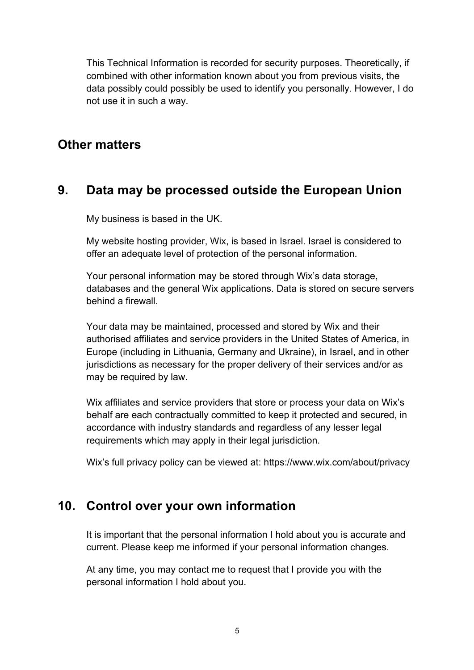This Technical Information is recorded for security purposes. Theoretically, if combined with other information known about you from previous visits, the data possibly could possibly be used to identify you personally. However, I do not use it in such a way.

#### **Other matters**

### **9. Data may be processed outside the European Union**

My business is based in the UK.

My website hosting provider, Wix, is based in Israel. Israel is considered to offer an adequate level of protection of the personal information.

Your personal information may be stored through Wix's data storage, databases and the general Wix applications. Data is stored on secure servers behind a firewall.

Your data may be maintained, processed and stored by Wix and their authorised affiliates and service providers in the United States of America, in Europe (including in Lithuania, Germany and Ukraine), in Israel, and in other jurisdictions as necessary for the proper delivery of their services and/or as may be required by law.

Wix affiliates and service providers that store or process your data on Wix's behalf are each contractually committed to keep it protected and secured, in accordance with industry standards and regardless of any lesser legal requirements which may apply in their legal jurisdiction.

Wix's full privacy policy can be viewed at: https://www.wix.com/about/privacy

### **10. Control over your own information**

It is important that the personal information I hold about you is accurate and current. Please keep me informed if your personal information changes.

At any time, you may contact me to request that I provide you with the personal information I hold about you.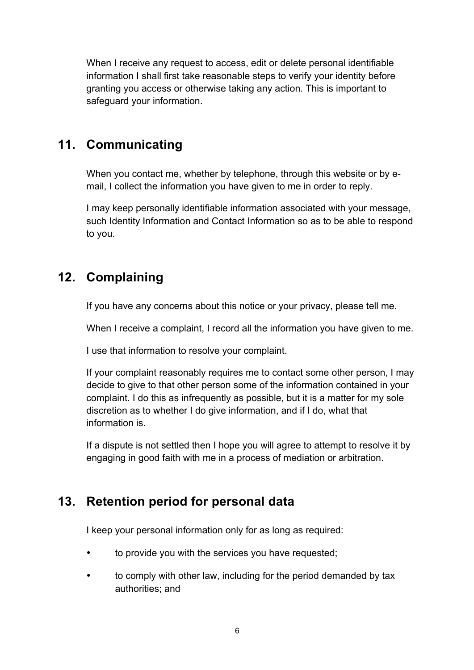When I receive any request to access, edit or delete personal identifiable information I shall first take reasonable steps to verify your identity before granting you access or otherwise taking any action. This is important to safeguard your information.

## **11. Communicating**

When you contact me, whether by telephone, through this website or by email, I collect the information you have given to me in order to reply.

I may keep personally identifiable information associated with your message, such Identity Information and Contact Information so as to be able to respond to you.

# **12. Complaining**

If you have any concerns about this notice or your privacy, please tell me.

When I receive a complaint, I record all the information you have given to me.

I use that information to resolve your complaint.

If your complaint reasonably requires me to contact some other person, I may decide to give to that other person some of the information contained in your complaint. I do this as infrequently as possible, but it is a matter for my sole discretion as to whether I do give information, and if I do, what that information is.

If a dispute is not settled then I hope you will agree to attempt to resolve it by engaging in good faith with me in a process of mediation or arbitration.

# **13. Retention period for personal data**

I keep your personal information only for as long as required:

- to provide you with the services you have requested;
- to comply with other law, including for the period demanded by tax authorities; and